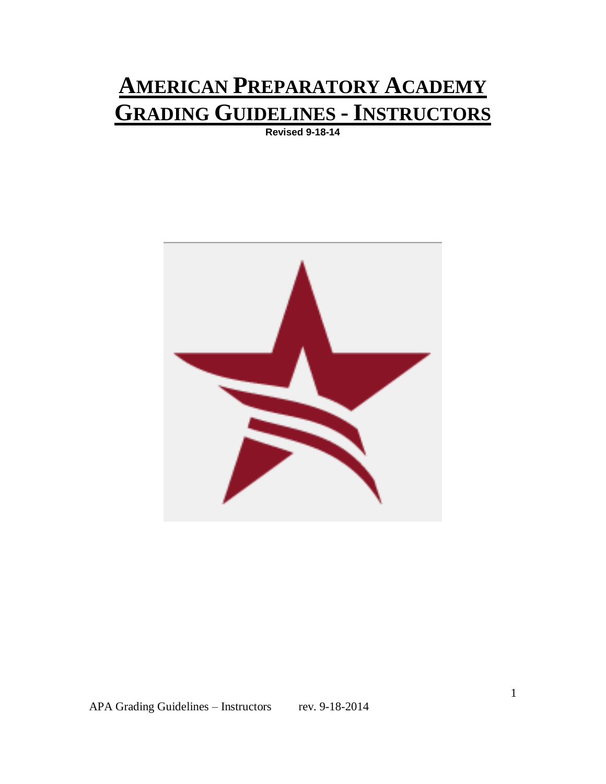# **AMERICAN PREPARATORY ACADEMY GRADING GUIDELINES - INSTRUCTORS**

**Revised 9-18-14**

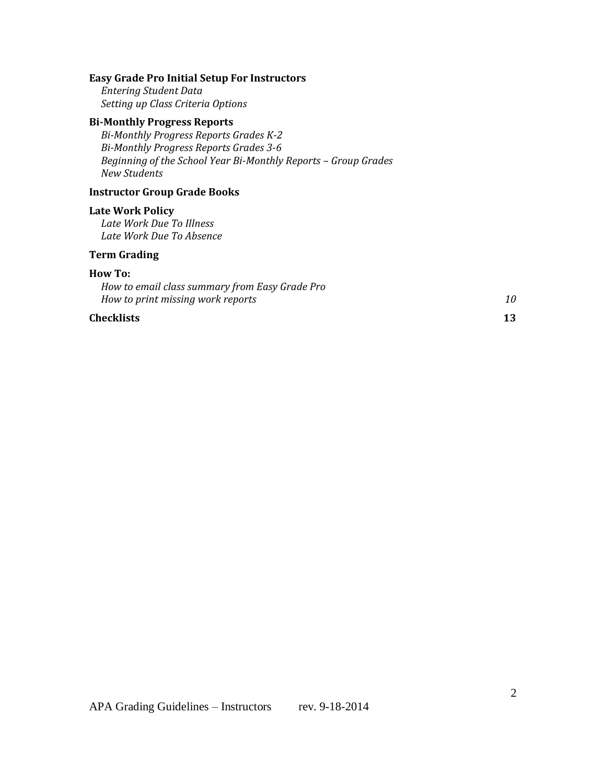#### **Easy Grade Pro Initial Setup For Instructors**

*Entering Student Data Setting up Class Criteria Options*

#### **Bi-Monthly Progress Reports**

*Bi-Monthly Progress Reports Grades K-2 Bi-Monthly Progress Reports Grades 3-6 Beginning of the School Year Bi-Monthly Reports – Group Grades New Students*

#### **Instructor Group Grade Books**

#### **Late Work Policy**

*Late Work Due To Illness Late Work Due To Absence*

#### **Term Grading**

#### **How To:**

*How to email class summary from Easy Grade Pro How to print missing work reports 10*

#### **Checklists 13**

APA Grading Guidelines - Instructors rev. 9-18-2014

2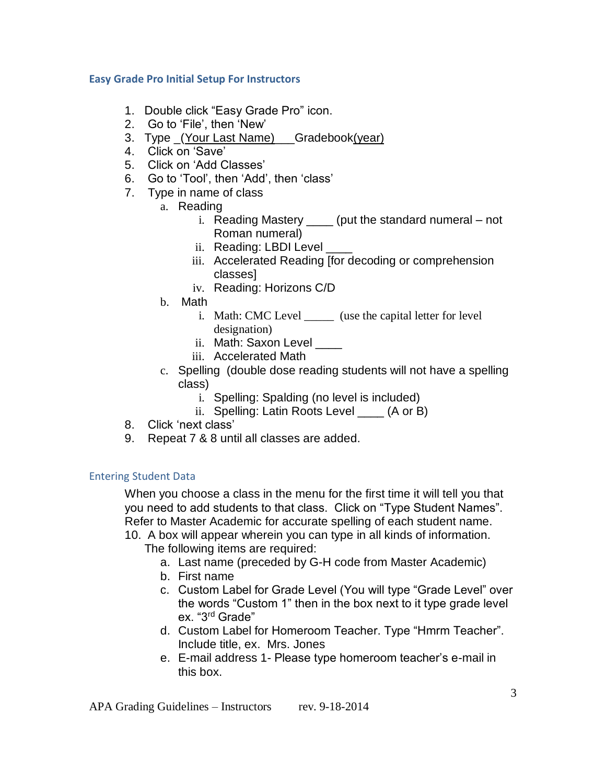# **Easy Grade Pro Initial Setup For Instructors**

- 1. Double click "Easy Grade Pro" icon.
- 2. Go to 'File', then 'New'
- 3. Type (Your Last Name) Gradebook(year)
- 4. Click on 'Save'
- 5. Click on 'Add Classes'
- 6. Go to 'Tool', then 'Add', then 'class'
- 7. Type in name of class
	- a. Reading
		- i. Reading Mastery \_\_\_\_ (put the standard numeral not Roman numeral)
		- ii. Reading: LBDI Level
		- iii. Accelerated Reading [for decoding or comprehension classes]
		- iv. Reading: Horizons C/D
	- b. Math
		- i. Math: CMC Level \_\_\_\_\_ (use the capital letter for level designation)
		- ii. Math: Saxon Level
		- iii. Accelerated Math
	- c. Spelling (double dose reading students will not have a spelling class)
		- i. Spelling: Spalding (no level is included)
		- ii. Spelling: Latin Roots Level \_\_\_\_ (A or B)
- 8. Click 'next class'
- 9. Repeat 7 & 8 until all classes are added.

# Entering Student Data

When you choose a class in the menu for the first time it will tell you that you need to add students to that class. Click on "Type Student Names". Refer to Master Academic for accurate spelling of each student name. 10. A box will appear wherein you can type in all kinds of information.

The following items are required:

- a. Last name (preceded by G-H code from Master Academic)
- b. First name
- c. Custom Label for Grade Level (You will type "Grade Level" over the words "Custom 1" then in the box next to it type grade level ex. "3rd Grade"
- d. Custom Label for Homeroom Teacher. Type "Hmrm Teacher". Include title, ex. Mrs. Jones
- e. E-mail address 1- Please type homeroom teacher's e-mail in this box.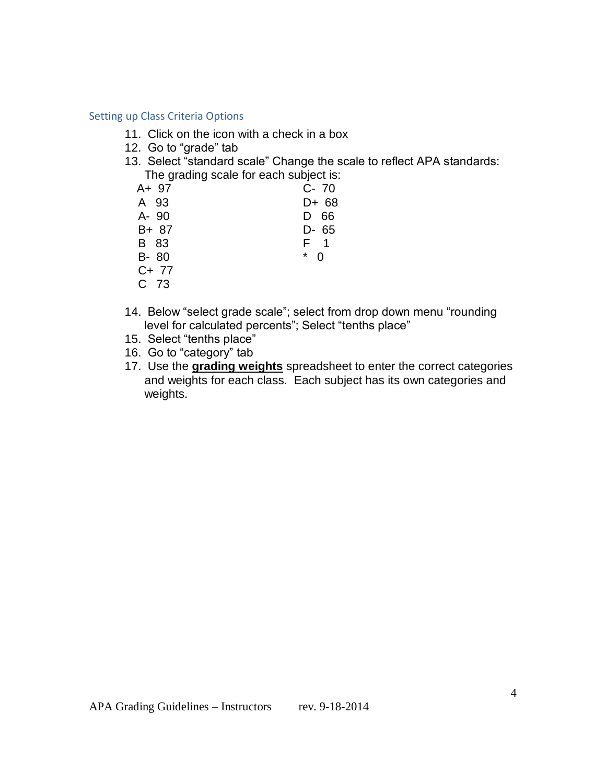#### Setting up Class Criteria Options

- 11. Click on the icon with a check in a box
- 12. Go to "grade" tab
- 13. Select "standard scale" Change the scale to reflect APA standards: The grading scale for each subject is:

| A+ 97   | $C - 70$           |
|---------|--------------------|
| A 93    | D+ 68              |
| A- 90   | D<br>66            |
| B+ 87   | D- 65              |
| B 83    | F 1                |
| $B-80$  | $\ast$<br>$\Omega$ |
| $C+ 77$ |                    |
| C 73    |                    |
|         |                    |

- 14. Below "select grade scale"; select from drop down menu "rounding level for calculated percents"; Select "tenths place"
- 15. Select "tenths place"
- 16. Go to "category" tab
- 17. Use the **grading weights** spreadsheet to enter the correct categories and weights for each class. Each subject has its own categories and weights.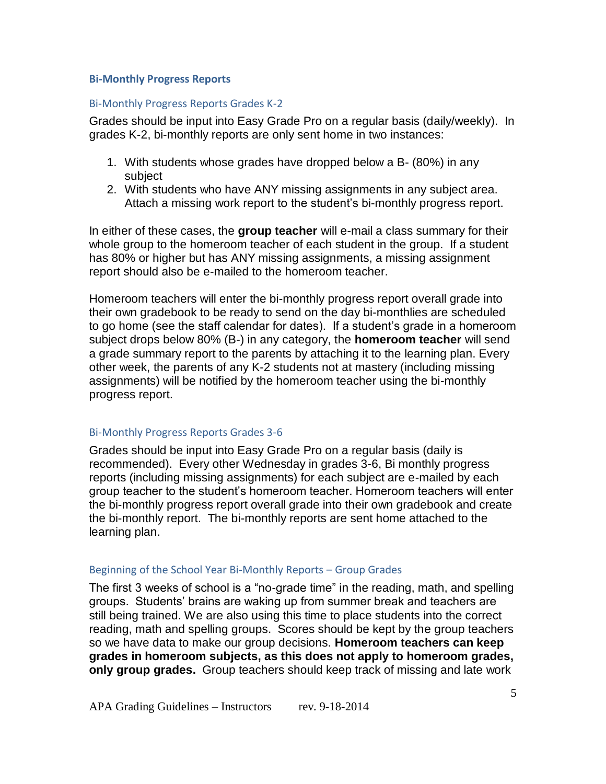#### **Bi-Monthly Progress Reports**

#### Bi-Monthly Progress Reports Grades K-2

Grades should be input into Easy Grade Pro on a regular basis (daily/weekly). In grades K-2, bi-monthly reports are only sent home in two instances:

- 1. With students whose grades have dropped below a B- (80%) in any subject
- 2. With students who have ANY missing assignments in any subject area. Attach a missing work report to the student's bi-monthly progress report.

In either of these cases, the **group teacher** will e-mail a class summary for their whole group to the homeroom teacher of each student in the group. If a student has 80% or higher but has ANY missing assignments, a missing assignment report should also be e-mailed to the homeroom teacher.

Homeroom teachers will enter the bi-monthly progress report overall grade into their own gradebook to be ready to send on the day bi-monthlies are scheduled to go home (see the staff calendar for dates). If a student's grade in a homeroom subject drops below 80% (B-) in any category, the **homeroom teacher** will send a grade summary report to the parents by attaching it to the learning plan. Every other week, the parents of any K-2 students not at mastery (including missing assignments) will be notified by the homeroom teacher using the bi-monthly progress report.

## Bi-Monthly Progress Reports Grades 3-6

Grades should be input into Easy Grade Pro on a regular basis (daily is recommended). Every other Wednesday in grades 3-6, Bi monthly progress reports (including missing assignments) for each subject are e-mailed by each group teacher to the student's homeroom teacher. Homeroom teachers will enter the bi-monthly progress report overall grade into their own gradebook and create the bi-monthly report. The bi-monthly reports are sent home attached to the learning plan.

#### Beginning of the School Year Bi-Monthly Reports – Group Grades

The first 3 weeks of school is a "no-grade time" in the reading, math, and spelling groups. Students' brains are waking up from summer break and teachers are still being trained. We are also using this time to place students into the correct reading, math and spelling groups. Scores should be kept by the group teachers so we have data to make our group decisions. **Homeroom teachers can keep grades in homeroom subjects, as this does not apply to homeroom grades, only group grades.** Group teachers should keep track of missing and late work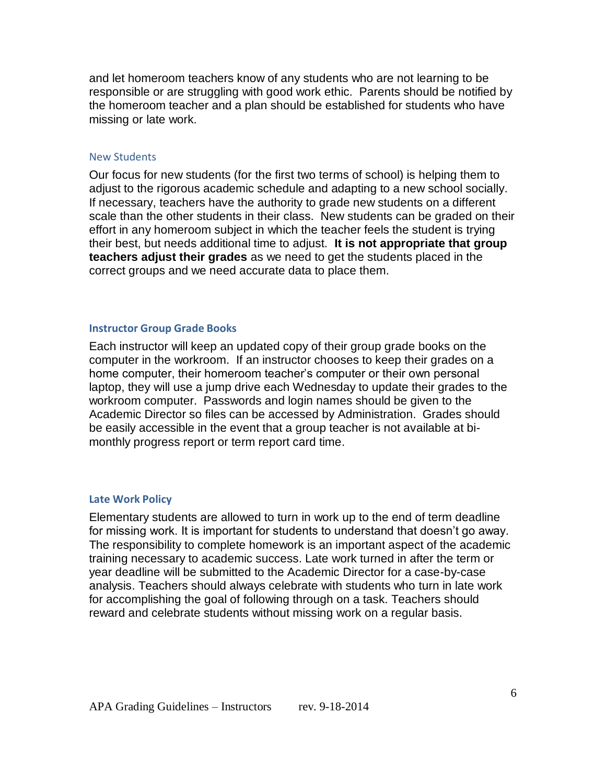and let homeroom teachers know of any students who are not learning to be responsible or are struggling with good work ethic. Parents should be notified by the homeroom teacher and a plan should be established for students who have missing or late work.

#### New Students

Our focus for new students (for the first two terms of school) is helping them to adjust to the rigorous academic schedule and adapting to a new school socially. If necessary, teachers have the authority to grade new students on a different scale than the other students in their class. New students can be graded on their effort in any homeroom subject in which the teacher feels the student is trying their best, but needs additional time to adjust. **It is not appropriate that group teachers adjust their grades** as we need to get the students placed in the correct groups and we need accurate data to place them.

#### **Instructor Group Grade Books**

Each instructor will keep an updated copy of their group grade books on the computer in the workroom. If an instructor chooses to keep their grades on a home computer, their homeroom teacher's computer or their own personal laptop, they will use a jump drive each Wednesday to update their grades to the workroom computer. Passwords and login names should be given to the Academic Director so files can be accessed by Administration. Grades should be easily accessible in the event that a group teacher is not available at bimonthly progress report or term report card time.

#### **Late Work Policy**

Elementary students are allowed to turn in work up to the end of term deadline for missing work. It is important for students to understand that doesn't go away. The responsibility to complete homework is an important aspect of the academic training necessary to academic success. Late work turned in after the term or year deadline will be submitted to the Academic Director for a case-by-case analysis. Teachers should always celebrate with students who turn in late work for accomplishing the goal of following through on a task. Teachers should reward and celebrate students without missing work on a regular basis.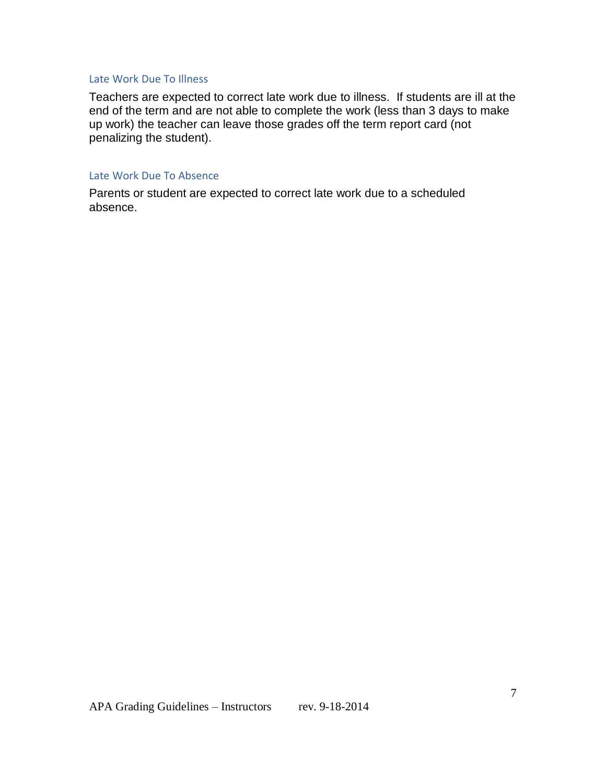#### Late Work Due To Illness

Teachers are expected to correct late work due to illness. If students are ill at the end of the term and are not able to complete the work (less than 3 days to make up work) the teacher can leave those grades off the term report card (not penalizing the student).

## Late Work Due To Absence

Parents or student are expected to correct late work due to a scheduled absence.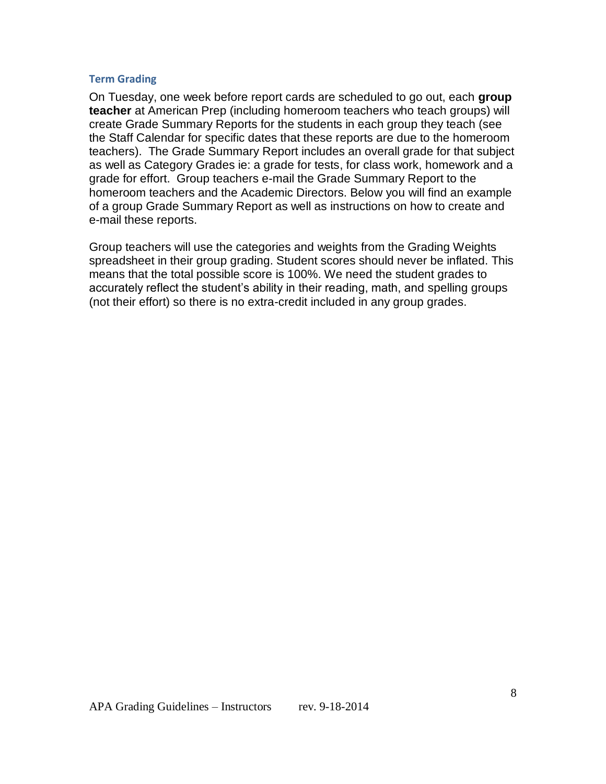#### **Term Grading**

On Tuesday, one week before report cards are scheduled to go out, each **group teacher** at American Prep (including homeroom teachers who teach groups) will create Grade Summary Reports for the students in each group they teach (see the Staff Calendar for specific dates that these reports are due to the homeroom teachers). The Grade Summary Report includes an overall grade for that subject as well as Category Grades ie: a grade for tests, for class work, homework and a grade for effort. Group teachers e-mail the Grade Summary Report to the homeroom teachers and the Academic Directors. Below you will find an example of a group Grade Summary Report as well as instructions on how to create and e-mail these reports.

Group teachers will use the categories and weights from the Grading Weights spreadsheet in their group grading. Student scores should never be inflated. This means that the total possible score is 100%. We need the student grades to accurately reflect the student's ability in their reading, math, and spelling groups (not their effort) so there is no extra-credit included in any group grades.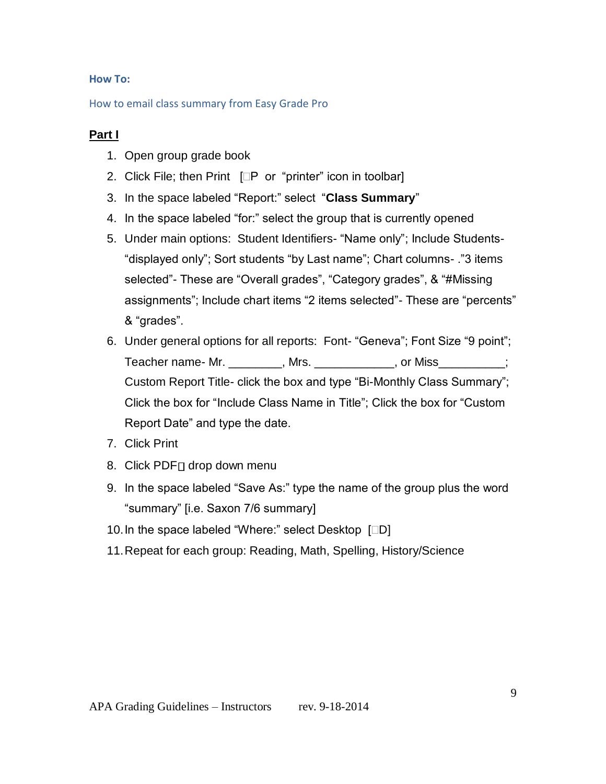# **How To:**

## How to email class summary from Easy Grade Pro

# **Part I**

- 1. Open group grade book
- 2. Click File; then Print  $[\Box P \text{ or } \text{``printer'' icon in toolbox}]$
- 3. In the space labeled "Report:" select "**Class Summary**"
- 4. In the space labeled "for:" select the group that is currently opened
- 5. Under main options: Student Identifiers- "Name only"; Include Students- "displayed only"; Sort students "by Last name"; Chart columns- ."3 items selected"- These are "Overall grades", "Category grades", & "#Missing assignments"; Include chart items "2 items selected"- These are "percents" & "grades".
- 6. Under general options for all reports: Font- "Geneva"; Font Size "9 point"; Teacher name- Mr. The action of Miss and the Miss of Miss and the Miss of Miss and the Miss of Miss Custom Report Title- click the box and type "Bi-Monthly Class Summary"; Click the box for "Include Class Name in Title"; Click the box for "Custom Report Date" and type the date.
- 7. Click Print
- 8. Click PDF<sub>I</sub> drop down menu
- 9. In the space labeled "Save As:" type the name of the group plus the word "summary" [i.e. Saxon 7/6 summary]
- 10. In the space labeled "Where:" select Desktop [DD]
- 11.Repeat for each group: Reading, Math, Spelling, History/Science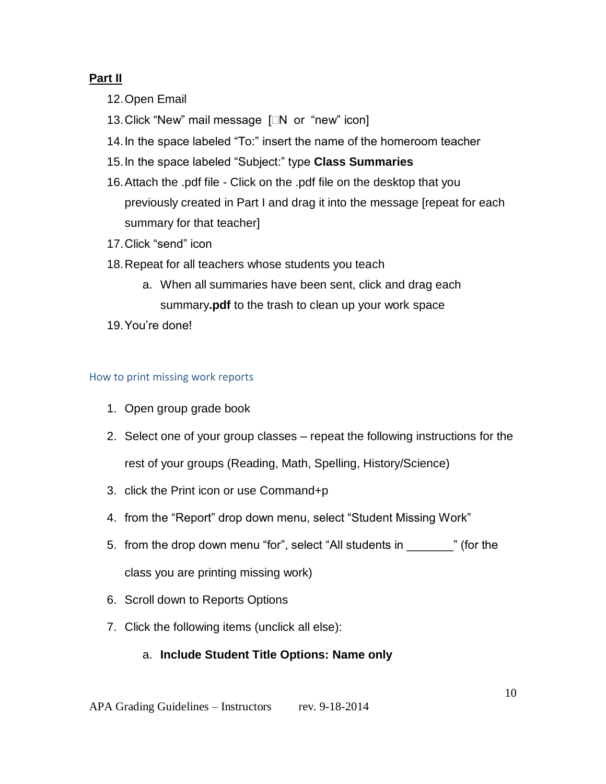# **Part II**

- 12.Open Email
- 13. Click "New" mail message [N or "new" icon]
- 14.In the space labeled "To:" insert the name of the homeroom teacher
- 15.In the space labeled "Subject:" type **Class Summaries**
- 16.Attach the .pdf file Click on the .pdf file on the desktop that you previously created in Part I and drag it into the message [repeat for each summary for that teacher]
- 17.Click "send" icon
- 18.Repeat for all teachers whose students you teach
	- a. When all summaries have been sent, click and drag each summary**.pdf** to the trash to clean up your work space
- 19.You're done!

# How to print missing work reports

- 1. Open group grade book
- 2. Select one of your group classes repeat the following instructions for the rest of your groups (Reading, Math, Spelling, History/Science)
- 3. click the Print icon or use Command+p
- 4. from the "Report" drop down menu, select "Student Missing Work"
- 5. from the drop down menu "for", select "All students in  $\blacksquare$  " (for the class you are printing missing work)
- 6. Scroll down to Reports Options
- 7. Click the following items (unclick all else):

# a. **Include Student Title Options: Name only**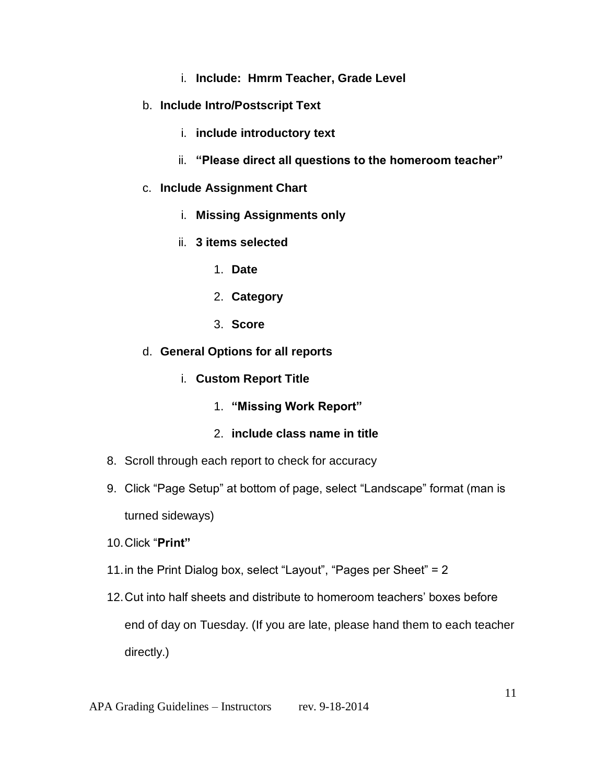- i. **Include: Hmrm Teacher, Grade Level**
- b. **Include Intro/Postscript Text**
	- i. **include introductory text**
	- ii. **"Please direct all questions to the homeroom teacher"**
- c. **Include Assignment Chart**
	- i. **Missing Assignments only**
	- ii. **3 items selected**
		- 1. **Date**
		- 2. **Category**
		- 3. **Score**
- d. **General Options for all reports**
	- i. **Custom Report Title**
		- 1. **"Missing Work Report"**

# 2. **include class name in title**

- 8. Scroll through each report to check for accuracy
- 9. Click "Page Setup" at bottom of page, select "Landscape" format (man is turned sideways)
- 10.Click "**Print"**
- 11.in the Print Dialog box, select "Layout", "Pages per Sheet" = 2
- 12.Cut into half sheets and distribute to homeroom teachers' boxes before end of day on Tuesday. (If you are late, please hand them to each teacher directly.)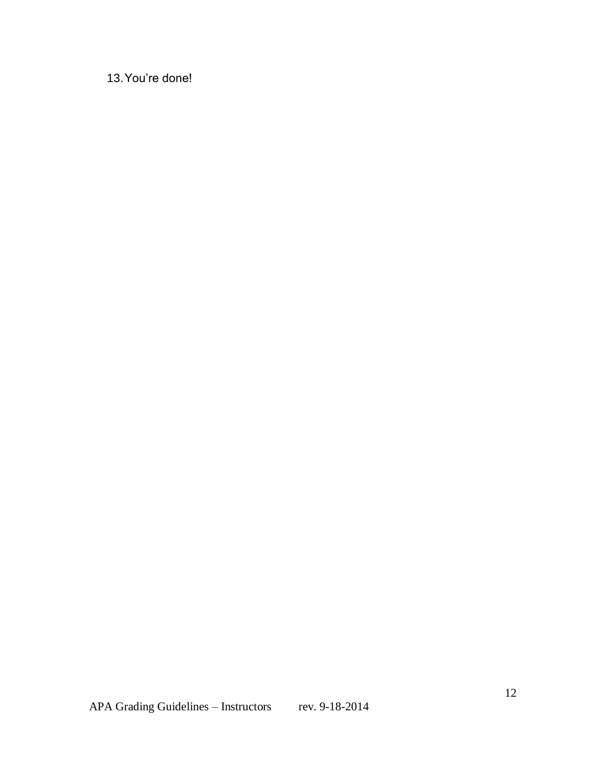13.You're done!